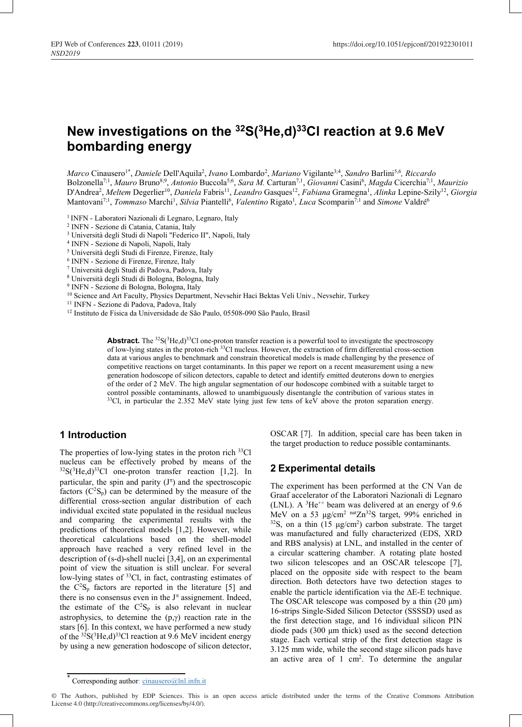# New investigations on the  $32S(3He,d)$  and reaction at 9.6 MeV bombarding energy

Marco Cinausero<sup>1\*</sup>, Daniele Dell'Aquila<sup>2</sup>, Ivano Lombardo<sup>2</sup>, Mariano Vigilante<sup>3;4</sup>, Sandro Barlini<sup>5,6</sup>, Riccardo Bolzonella<sup>7;1</sup>, Mauro Bruno<sup>8;9</sup>, Antonio Buccola<sup>5;6</sup>, Sara M. Carturan<sup>7,1</sup>, Giovanni Casini<sup>6</sup>, Magda Cicerchia<sup>7;1</sup>, Maurizio D'Andrea<sup>2</sup>, Meltem Degerlier<sup>10</sup>, Daniela Fabris<sup>11</sup>, Leandro Gasques<sup>12</sup>, Fabiana Gramegna<sup>1</sup>, Alinka Lepine-Szily<sup>12</sup>, Giorgia Mantovani<sup>7;1</sup>, *Tommaso* Marchi<sup>1</sup>, Silvia Piantelli<sup>6</sup>, Valentino Rigato<sup>1</sup>, Luca Scomparin<sup>7;1</sup> and Simone Valdré<sup>6</sup>

- <sup>1</sup> INFN Laboratori Nazionali di Legnaro, Legnaro, Italy
- 2 INFN Sezione di Catania, Catania, Italy
- 3 Università degli Studi di Napoli "Federico II", Napoli, Italy
- 4 INFN Sezione di Napoli, Napoli, Italy
- 5 Università degli Studi di Firenze, Firenze, Italy
- 6 INFN Sezione di Firenze, Firenze, Italy
- 7 Università degli Studi di Padova, Padova, Italy
- 8 Università degli Studi di Bologna, Bologna, Italy
- 9 INFN Sezione di Bologna, Bologna, Italy
- <sup>10</sup> Science and Art Faculty, Physics Department, Nevsehir Haci Bektas Veli Univ., Nevsehir, Turkey
- 11 INFN Sezione di Padova, Padova, Italy

12 Instituto de Fisica da Universidade de São Paulo, 05508-090 São Paulo, Brasil

Abstract. The <sup>32</sup>S(<sup>3</sup>He,d)<sup>33</sup>Cl one-proton transfer reaction is a powerful tool to investigate the spectroscopy of low-lying states in the proton-rich 33Cl nucleus. However, the extraction of firm differential cross-section data at various angles to benchmark and constrain theoretical models is made challenging by the presence of competitive reactions on target contaminants. In this paper we report on a recent measurement using a new generation hodoscope of silicon detectors, capable to detect and identify emitted deuterons down to energies of the order of 2 MeV. The high angular segmentation of our hodoscope combined with a suitable target to control possible contaminants, allowed to unambiguously disentangle the contribution of various states in <sup>33</sup>Cl, in particular the 2.352 MeV state lying just few tens of keV above the proton separation energy.

# 1 Introduction

The properties of low-lying states in the proton rich <sup>33</sup>Cl nucleus can be effectively probed by means of the  $32S(^{3}He,d)^{33}Cl$  one-proton transfer reaction [1,2]. In particular, the spin and parity  $(J^{\pi})$  and the spectroscopic factors  $(C^2S_p)$  can be determined by the measure of the differential cross-section angular distribution of each individual excited state populated in the residual nucleus and comparing the experimental results with the predictions of theoretical models [1,2]. However, while theoretical calculations based on the shell-model approach have reached a very refined level in the description of (s-d)-shell nuclei [3,4], on an experimental point of view the situation is still unclear. For several low-lying states of <sup>33</sup>Cl, in fact, contrasting estimates of the  $C^2S_p$  factors are reported in the literature [5] and there is no consensus even in the  $J^{\pi}$  assignement. Indeed, the estimate of the  $C^2S_p$  is also relevant in nuclear astrophysics, to detemine the  $(p, \gamma)$  reaction rate in the stars [6]. In this context, we have performed a new study of the  $32S(^{3}He,d)^{33}Cl$  reaction at 9.6 MeV incident energy by using a new generation hodoscope of silicon detector,

OSCAR [7]. In addition, special care has been taken in the target production to reduce possible contaminants.

# 2 Experimental details

The experiment has been performed at the CN Van de Graaf accelerator of the Laboratori Nazionali di Legnaro (LNL). A  ${}^{3}$ He<sup>++</sup> beam was delivered at an energy of 9.6 MeV on a 53  $\mu$ g/cm<sup>2</sup> <sup>nat</sup>Zn<sup>32</sup>S target, 99% enriched in <sup>32</sup>S, on a thin (15  $\mu$ g/cm<sup>2</sup>) carbon substrate. The target was manufactured and fully characterized (EDS, XRD and RBS analysis) at LNL, and installed in the center of a circular scattering chamber. A rotating plate hosted two silicon telescopes and an OSCAR telescope [7], placed on the opposite side with respect to the beam direction. Both detectors have two detection stages to enable the particle identification via the  $\Delta E-E$  technique. The OSCAR telescope was composed by a thin  $(20 \mu m)$ 16-strips Single-Sided Silicon Detector (SSSSD) used as the first detection stage, and 16 individual silicon PIN diode pads (300 μm thick) used as the second detection stage. Each vertical strip of the first detection stage is 3.125 mm wide, while the second stage silicon pads have an active area of  $1 \text{ cm}^2$ . To determine the angular

<sup>\*</sup> Corresponding author: cinausero@lnl.infn.it